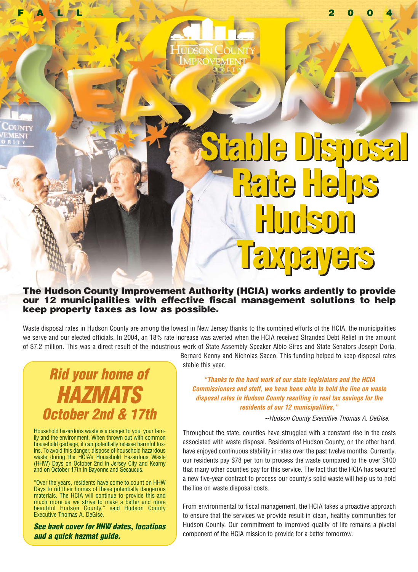

## **Stable Disposal Stable Disposal Rate Helps Rate Helps Hudson Hudson Taxpayers Taxpayers**

#### **The Hudson County Improvement Authority (HCIA) works ardently to provide our 12 municipalities with effective fiscal management solutions to help keep property taxes as low as possible.**

Waste disposal rates in Hudson County are among the lowest in New Jersey thanks to the combined efforts of the HCIA, the municipalities we serve and our elected officials. In 2004, an 18% rate increase was averted when the HCIA received Stranded Debt Relief in the amount of \$7.2 million. This was a direct result of the industrious work of State Assembly Speaker Albio Sires and State Senators Joseph Doria,

### **Rid your home of HAZMATS October 2nd & 17th**

Household hazardous waste is a danger to you, your family and the environment. When thrown out with common household garbage, it can potentially release harmful toxins. To avoid this danger, dispose of household hazardous waste during the HCIA's Household Hazardous Waste (HHW) Days on October 2nd in Jersey City and Kearny and on October 17th in Bayonne and Secaucus.

"Over the years, residents have come to count on HHW Days to rid their homes of these potentially dangerous materials. The HCIA will continue to provide this and much more as we strive to make a better and more beautiful Hudson County," said Hudson County Executive Thomas A. DeGise.

**See back cover for HHW dates, locations and a quick hazmat guide.**

Bernard Kenny and Nicholas Sacco. This funding helped to keep disposal rates stable this year.

**"Thanks to the hard work of our state legislators and the HCIA Commissioners and staff, we have been able to hold the line on waste disposal rates in Hudson County resulting in real tax savings for the residents of our 12 municipalities,"**

--Hudson County Executive Thomas A. DeGise.

Throughout the state, counties have struggled with a constant rise in the costs associated with waste disposal. Residents of Hudson County, on the other hand, have enjoyed continuous stability in rates over the past twelve months. Currently, our residents pay \$78 per ton to process the waste compared to the over \$100 that many other counties pay for this service. The fact that the HCIA has secured a new five-year contract to process our county's solid waste will help us to hold the line on waste disposal costs.

From environmental to fiscal management, the HCIA takes a proactive approach to ensure that the services we provide result in clean, healthy communities for Hudson County. Our commitment to improved quality of life remains a pivotal component of the HCIA mission to provide for a better tomorrow.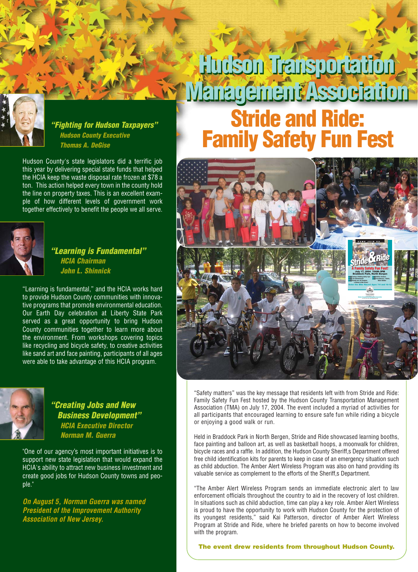

**"Fighting for Hudson Taxpayers" Hudson County Executive Thomas A. DeGise**

Hudson County's state legislators did a terrific job this year by delivering special state funds that helped the HCIA keep the waste disposal rate frozen at \$78 a ton. This action helped every town in the county hold the line on property taxes. This is an excellent example of how different levels of government work together effectively to benefit the people we all serve.



#### **"Learning is Fundamental" HCIA Chairman John L. Shinnick**

"Learning is fundamental," and the HCIA works hard to provide Hudson County communities with innovative programs that promote environmental education. Our Earth Day celebration at Liberty State Park served as a great opportunity to bring Hudson County communities together to learn more about the environment. From workshops covering topics like recycling and bicycle safety, to creative activities like sand art and face painting, participants of all ages were able to take advantage of this HCIA program.



**"Creating Jobs and New Business Development" HCIA Executive Director Norman M. Guerra** 

"One of our agency's most important initiatives is to support new state legislation that would expand the HCIA's ability to attract new business investment and create good jobs for Hudson County towns and people."

**On August 5, Norman Guerra was named President of the Improvement Authority Association of New Jersey.**

## **Hudson Transportation Hudson Transportation Management Association Management AssociationStride and Ride: Family Safety Fun Fest**



"Safety matters" was the key message that residents left with from Stride and Ride: Family Safety Fun Fest hosted by the Hudson County Transportation Management Association (TMA) on July 17, 2004. The event included a myriad of activities for all participants that encouraged learning to ensure safe fun while riding a bicycle or enjoying a good walk or run.

Held in Braddock Park in North Bergen, Stride and Ride showcased learning booths, face painting and balloon art, as well as basketball hoops, a moonwalk for children, bicycle races and a raffle. In addition, the Hudson County Sheriff,s Department offered free child identification kits for parents to keep in case of an emergency situation such as child abduction. The Amber Alert Wireless Program was also on hand providing its valuable service as complement to the efforts of the Sheriff,s Department.

"The Amber Alert Wireless Program sends an immediate electronic alert to law enforcement officials throughout the country to aid in the recovery of lost children. In situations such as child abduction, time can play a key role. Amber Alert Wireless is proud to have the opportunity to work with Hudson County for the protection of its youngest residents," said Kai Patterson, director of Amber Alert Wireless Program at Stride and Ride, where he briefed parents on how to become involved with the program.

**The event drew residents from throughout Hudson County.**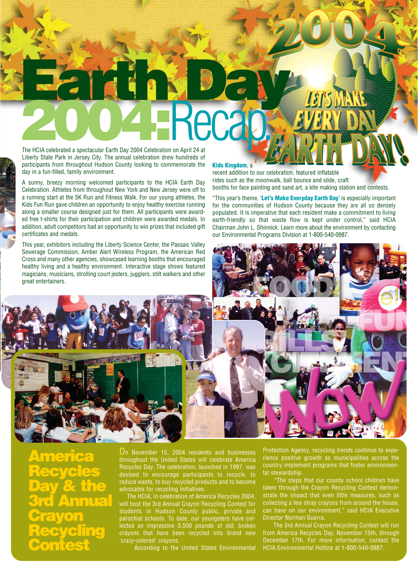# **Earth Day 2004 Celebrated a spectacular Farth Day 2004 Celebration on April 24 at**

The HCIA celebrated a spectacular Earth Day 2004 Celebration on April 24 at Liberty State Park in Jersey City. The annual celebration drew hundreds of participants from throughout Hudson County looking to commemorate the day in a fun-filled, family environment.

A sunny, breezy morning welcomed participants to the HCIA Earth Day Celebration. Athletes from throughout New York and New Jersey were off to a running start at the 5K Run and Fitness Walk. For our young athletes, the Kids Fun Run gave children an opportunity to enjoy healthy exercise running along a smaller course designed just for them. All participants were awarded free t-shirts for their participation and children were awarded medals. In addition, adult competitors had an opportunity to win prizes that included gift certificates and medals.

This year, exhibitors including the Liberty Science Center, the Passaic Valley Sewerage Commission, Amber Alert Wireless Program, the American Red Cross and many other agencies, showcased learning booths that encouraged healthy living and a healthy environment. Interactive stage shows featured magicians, musicians, strolling court jesters, jugglers, stilt walkers and other great entertainers.

#### **Kids Kingdom**, a

recent addition to our celebration, featured inflatable rides such as the moonwalk, ball bounce and slide, craft booths for face painting and sand art, a kite making station and contests.

"This year's theme, '**Let's Make Everyday Earth Day**' is especially important for the communities of Hudson County because they are all so densely populated. It is imperative that each resident make a commitment to living earth-friendly so that waste flow is kept under control," said HCIA Chairman John L. Shinnick. Learn more about the environment by contacting our Environmental Programs Division at 1-800-540-0987.



**Contest**

On November 15, 2004 residents and businesses throughout the United States will celebrate America Recycles Day. The celebration, launched in 1997, was devised to encourage participants to recycle, to reduce waste, to buy recycled products and to become advocates for recycling initiatives.

The HCIA, in celebration of America Recycles 2004, will host the 3rd Annual Crayon Recycling Contest for students in Hudson County public, private and parochial schools. To date, our youngsters have collected an impressive 3,500 pounds of old, broken crayons that have been recycled into brand new 'crazy-colored' crayons.

According to the United States Environmental

Protection Agency, recycling trends continue to experience positive growth as municipalities across the country implement programs that foster environmental stewardship.

"The steps that our county school children have taken through the Crayon Recycling Contest demonstrate the impact that even little measures, such as collecting a few stray crayons from around the house, can have on our environment," said HCIA Executive Director Norman Guerra.

The 3rd Annual Crayon Recycling Contest will run from America Recycles Day, November 15th, through December 17th. For more information, contact the HCIA Environmental Hotline at 1-800-540-0987.